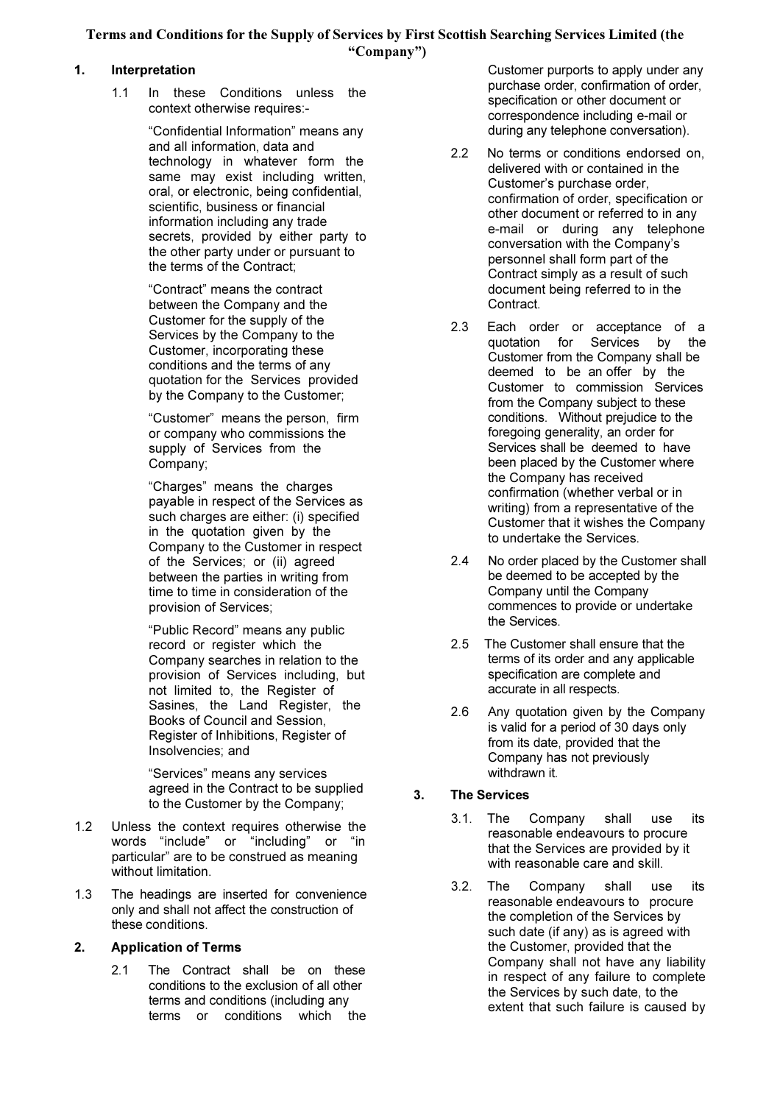Terms and Conditions for the Supply of Services by First Scottish Searching Services Limited (the "Company")

## 1. Interpretation

1.1 In these Conditions unless the context otherwise requires:-

> "Confidential Information" means any and all information, data and technology in whatever form the same may exist including written, oral, or electronic, being confidential, scientific, business or financial information including any trade secrets, provided by either party to the other party under or pursuant to the terms of the Contract;

"Contract" means the contract between the Company and the Customer for the supply of the Services by the Company to the Customer, incorporating these conditions and the terms of any quotation for the Services provided by the Company to the Customer;

"Customer" means the person, firm or company who commissions the supply of Services from the Company;

"Charges" means the charges payable in respect of the Services as such charges are either: (i) specified in the quotation given by the Company to the Customer in respect of the Services; or (ii) agreed between the parties in writing from time to time in consideration of the provision of Services;

"Public Record" means any public record or register which the Company searches in relation to the provision of Services including, but not limited to, the Register of Sasines, the Land Register, the Books of Council and Session, Register of Inhibitions, Register of Insolvencies; and

"Services" means any services agreed in the Contract to be supplied to the Customer by the Company;

- 1.2 Unless the context requires otherwise the words "include" or "including" or "in particular" are to be construed as meaning without limitation.
- 1.3 The headings are inserted for convenience only and shall not affect the construction of these conditions.

## 2. Application of Terms

2.1 The Contract shall be on these conditions to the exclusion of all other terms and conditions (including any terms or conditions which the

Customer purports to apply under any purchase order, confirmation of order, specification or other document or correspondence including e-mail or during any telephone conversation).

- 2.2 No terms or conditions endorsed on, delivered with or contained in the Customer's purchase order, confirmation of order, specification or other document or referred to in any e-mail or during any telephone conversation with the Company's personnel shall form part of the Contract simply as a result of such document being referred to in the Contract.
- 2.3 Each order or acceptance of a quotation for Services by the Customer from the Company shall be deemed to be an offer by the Customer to commission Services from the Company subject to these conditions. Without prejudice to the foregoing generality, an order for Services shall be deemed to have been placed by the Customer where the Company has received confirmation (whether verbal or in writing) from a representative of the Customer that it wishes the Company to undertake the Services.
- 2.4 No order placed by the Customer shall be deemed to be accepted by the Company until the Company commences to provide or undertake the Services.
- 2.5 The Customer shall ensure that the terms of its order and any applicable specification are complete and accurate in all respects.
- 2.6 Any quotation given by the Company is valid for a period of 30 days only from its date, provided that the Company has not previously withdrawn it.

## 3. The Services

- 3.1. The Company shall use its reasonable endeavours to procure that the Services are provided by it with reasonable care and skill.
- 3.2. The Company shall use its reasonable endeavours to procure the completion of the Services by such date (if any) as is agreed with the Customer, provided that the Company shall not have any liability in respect of any failure to complete the Services by such date, to the extent that such failure is caused by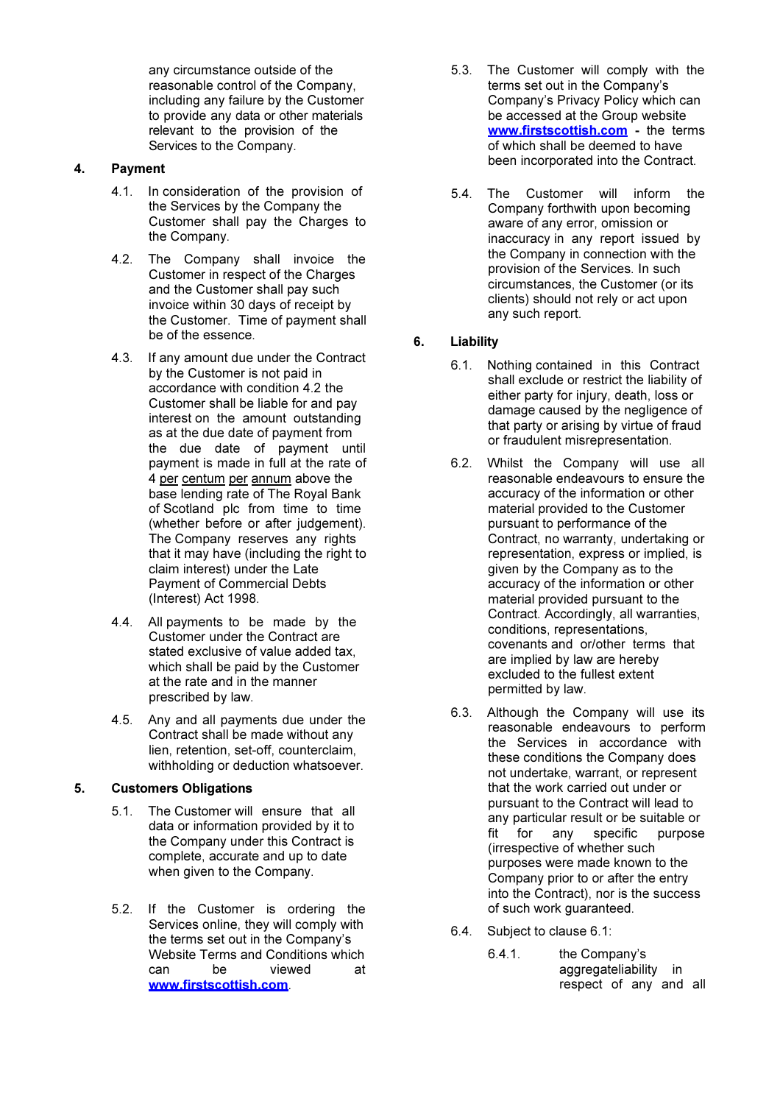any circumstance outside of the reasonable control of the Company, including any failure by the Customer to provide any data or other materials relevant to the provision of the Services to the Company.

## 4. Payment

- 4.1. In consideration of the provision of the Services by the Company the Customer shall pay the Charges to the Company.
- 4.2. The Company shall invoice the Customer in respect of the Charges and the Customer shall pay such invoice within 30 days of receipt by the Customer. Time of payment shall be of the essence.
- 4.3. If any amount due under the Contract by the Customer is not paid in accordance with condition 4.2 the Customer shall be liable for and pay interest on the amount outstanding as at the due date of payment from the due date of payment until payment is made in full at the rate of 4 per centum per annum above the base lending rate of The Royal Bank of Scotland plc from time to time (whether before or after judgement). The Company reserves any rights that it may have (including the right to claim interest) under the Late Payment of Commercial Debts (Interest) Act 1998.
- 4.4. All payments to be made by the Customer under the Contract are stated exclusive of value added tax, which shall be paid by the Customer at the rate and in the manner prescribed by law.
- 4.5. Any and all payments due under the Contract shall be made without any lien, retention, set-off, counterclaim, withholding or deduction whatsoever.

## 5. Customers Obligations

- 5.1. The Customer will ensure that all data or information provided by it to the Company under this Contract is complete, accurate and up to date when given to the Company.
- 5.2. If the Customer is ordering the Services online, they will comply with the terms set out in the Company's Website Terms and Conditions which can be viewed at www.firstscottish.com.
- 5.3. The Customer will comply with the terms set out in the Company's Company's Privacy Policy which can be accessed at the Group website www.firstscottish.com - the terms of which shall be deemed to have been incorporated into the Contract.
- 5.4. The Customer will inform the Company forthwith upon becoming aware of any error, omission or inaccuracy in any report issued by the Company in connection with the provision of the Services. In such circumstances, the Customer (or its clients) should not rely or act upon any such report.

# 6. Liability

- 6.1. Nothing contained in this Contract shall exclude or restrict the liability of either party for injury, death, loss or damage caused by the negligence of that party or arising by virtue of fraud or fraudulent misrepresentation.
- 6.2. Whilst the Company will use all reasonable endeavours to ensure the accuracy of the information or other material provided to the Customer pursuant to performance of the Contract, no warranty, undertaking or representation, express or implied, is given by the Company as to the accuracy of the information or other material provided pursuant to the Contract. Accordingly, all warranties, conditions, representations, covenants and or/other terms that are implied by law are hereby excluded to the fullest extent permitted by law.
- 6.3. Although the Company will use its reasonable endeavours to perform the Services in accordance with these conditions the Company does not undertake, warrant, or represent that the work carried out under or pursuant to the Contract will lead to any particular result or be suitable or<br>fit for any specific purpose fit for any specific purpose (irrespective of whether such purposes were made known to the Company prior to or after the entry into the Contract), nor is the success of such work guaranteed.
- 6.4. Subject to clause 6.1:
	- 6.4.1. the Company's aggregateliability in respect of any and all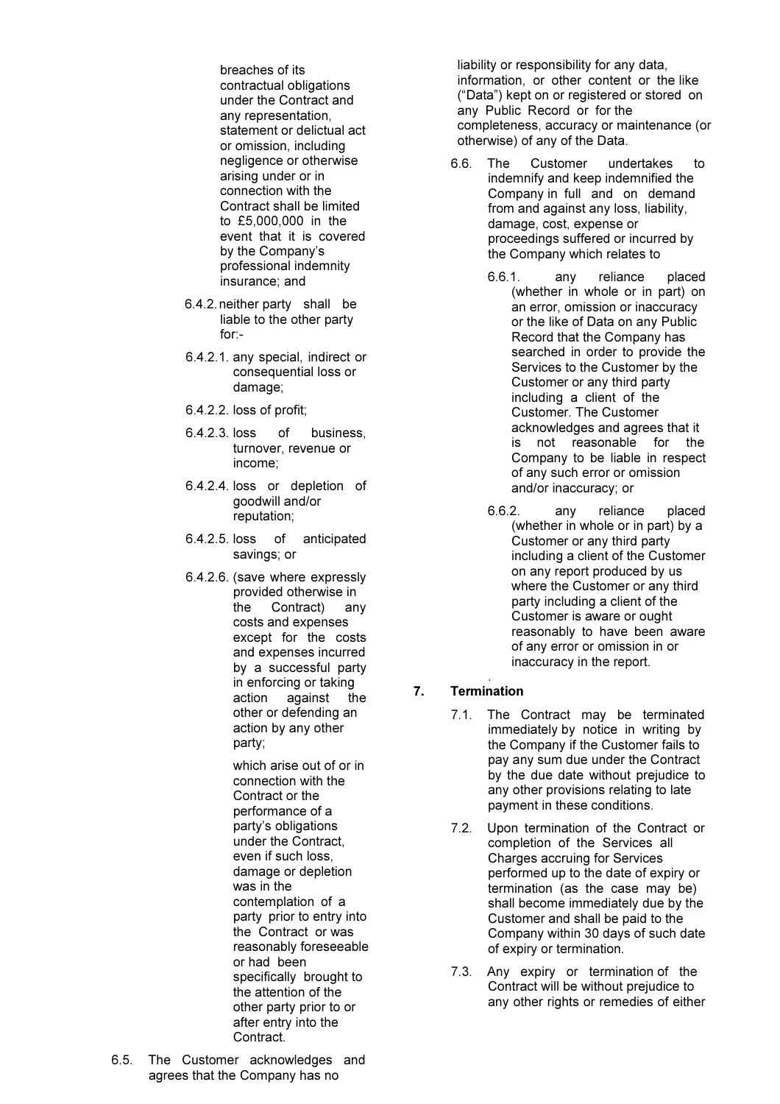breaches of its contractual obligations under the Contract and any representation, statement or delictual act or omission, including negligence or otherwise arising under or in connection with the Contract shall be limited to £5,000,000 in the event that it is covered by the Company's professional indemnity insurance; and

- 6.4.2. neither party shall be liable to the other party for:-
- 6.4.2.1. any special, indirect or consequential loss or damage;
- 6.4.2.2. loss of profit;
- 6.4.2.3. loss of business, turnover, revenue or income;
- 6.4.2.4. loss or depletion of goodwill and/or reputation;
- 6.4.2.5. loss of anticipated savings; or
- 6.4.2.6. (save where expressly provided otherwise in the Contract) any costs and expenses except for the costs and expenses incurred by a successful party in enforcing or taking action against the other or defending an action by any other party;

which arise out of or in connection with the Contract or the performance of a party's obligations under the Contract, even if such loss, damage or depletion was in the contemplation of a party prior to entry into the Contract or was reasonably foreseeable or had been specifically brought to the attention of the other party prior to or after entry into the Contract.

6.5. The Customer acknowledges and agrees that the Company has no

liability or responsibility for any data, information, or other content or the like ("Data") kept on or registered or stored on any Public Record or for the completeness, accuracy or maintenance (or otherwise) of any of the Data.

- 6.6. The Customer undertakes to indemnify and keep indemnified the Company in full and on demand from and against any loss, liability, damage, cost, expense or proceedings suffered or incurred by the Company which relates to
	- 6.6.1. any reliance placed (whether in whole or in part) on an error, omission or inaccuracy or the like of Data on any Public Record that the Company has searched in order to provide the Services to the Customer by the Customer or any third party including a client of the Customer. The Customer acknowledges and agrees that it is not reasonable for the Company to be liable in respect of any such error or omission and/or inaccuracy; or
	- 6.6.2. any reliance placed (whether in whole or in part) by a Customer or any third party including a client of the Customer on any report produced by us where the Customer or any third party including a client of the Customer is aware or ought reasonably to have been aware of any error or omission in or inaccuracy in the report.

#### . 7. Termination

- 7.1. The Contract may be terminated immediately by notice in writing by the Company if the Customer fails to pay any sum due under the Contract by the due date without prejudice to any other provisions relating to late payment in these conditions.
- 7.2. Upon termination of the Contract or completion of the Services all Charges accruing for Services performed up to the date of expiry or termination (as the case may be) shall become immediately due by the Customer and shall be paid to the Company within 30 days of such date of expiry or termination.
- 7.3. Any expiry or termination of the Contract will be without prejudice to any other rights or remedies of either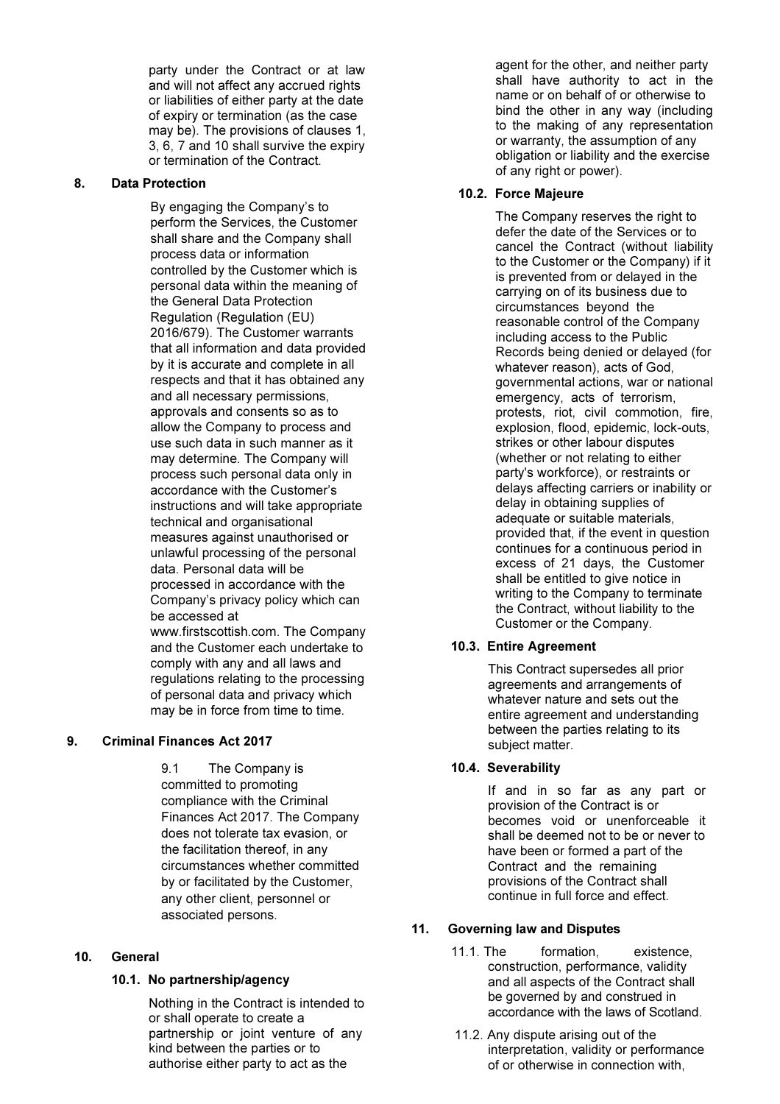party under the Contract or at law and will not affect any accrued rights or liabilities of either party at the date of expiry or termination (as the case may be). The provisions of clauses 1, 3, 6, 7 and 10 shall survive the expiry or termination of the Contract.

## 8. Data Protection

By engaging the Company's to perform the Services, the Customer shall share and the Company shall process data or information controlled by the Customer which is personal data within the meaning of the General Data Protection Regulation (Regulation (EU) 2016/679). The Customer warrants that all information and data provided by it is accurate and complete in all respects and that it has obtained any and all necessary permissions, approvals and consents so as to allow the Company to process and use such data in such manner as it may determine. The Company will process such personal data only in accordance with the Customer's instructions and will take appropriate technical and organisational measures against unauthorised or unlawful processing of the personal data. Personal data will be processed in accordance with the Company's privacy policy which can be accessed at www.firstscottish.com. The Company and the Customer each undertake to comply with any and all laws and regulations relating to the processing of personal data and privacy which may be in force from time to time.

# 9. Criminal Finances Act 2017

9.1 The Company is committed to promoting compliance with the Criminal Finances Act 2017. The Company does not tolerate tax evasion, or the facilitation thereof, in any circumstances whether committed by or facilitated by the Customer, any other client, personnel or associated persons.

# 10. General

## 10.1. No partnership/agency

Nothing in the Contract is intended to or shall operate to create a partnership or joint venture of any kind between the parties or to authorise either party to act as the

agent for the other, and neither party shall have authority to act in the name or on behalf of or otherwise to bind the other in any way (including to the making of any representation or warranty, the assumption of any obligation or liability and the exercise of any right or power).

## 10.2. Force Majeure

The Company reserves the right to defer the date of the Services or to cancel the Contract (without liability to the Customer or the Company) if it is prevented from or delayed in the carrying on of its business due to circumstances beyond the reasonable control of the Company including access to the Public Records being denied or delayed (for whatever reason), acts of God, governmental actions, war or national emergency, acts of terrorism, protests, riot, civil commotion, fire, explosion, flood, epidemic, lock-outs, strikes or other labour disputes (whether or not relating to either party's workforce), or restraints or delays affecting carriers or inability or delay in obtaining supplies of adequate or suitable materials, provided that, if the event in question continues for a continuous period in excess of 21 days, the Customer shall be entitled to give notice in writing to the Company to terminate the Contract, without liability to the Customer or the Company.

## 10.3. Entire Agreement

This Contract supersedes all prior agreements and arrangements of whatever nature and sets out the entire agreement and understanding between the parties relating to its subject matter.

## 10.4. Severability

If and in so far as any part or provision of the Contract is or becomes void or unenforceable it shall be deemed not to be or never to have been or formed a part of the Contract and the remaining provisions of the Contract shall continue in full force and effect.

# 11. Governing law and Disputes

- 11.1. The formation, existence, construction, performance, validity and all aspects of the Contract shall be governed by and construed in accordance with the laws of Scotland.
- 11.2. Any dispute arising out of the interpretation, validity or performance of or otherwise in connection with,